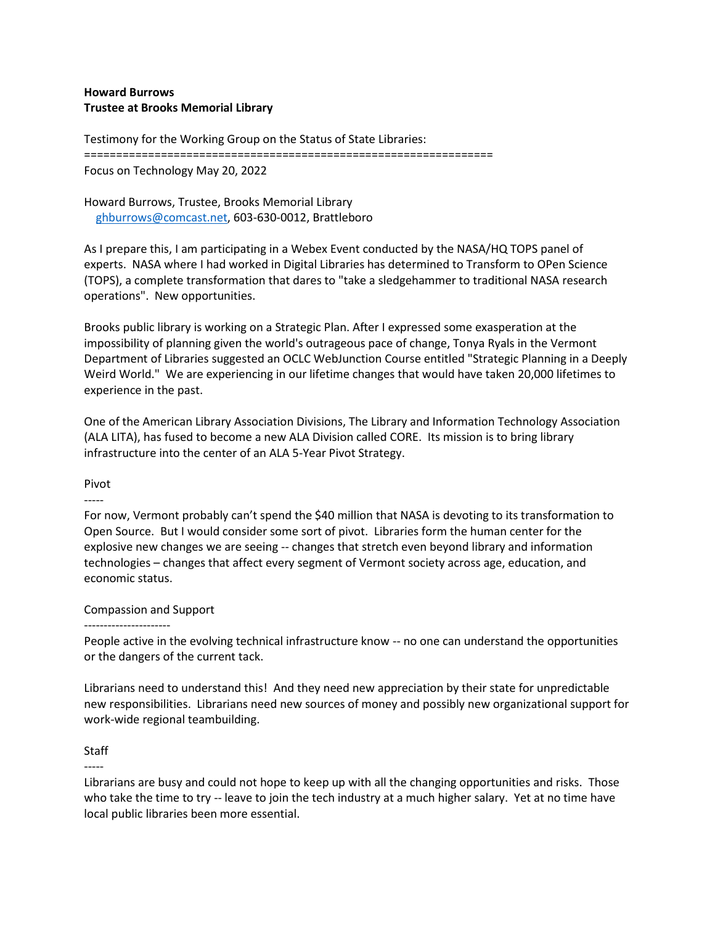### **Howard Burrows Trustee at Brooks Memorial Library**

Testimony for the Working Group on the Status of State Libraries:

================================================================

Focus on Technology May 20, 2022

Howard Burrows, Trustee, Brooks Memorial Library [ghburrows@comcast.net,](mailto:ghburrows@comcast.net) 603-630-0012, Brattleboro

As I prepare this, I am participating in a Webex Event conducted by the NASA/HQ TOPS panel of experts. NASA where I had worked in Digital Libraries has determined to Transform to OPen Science (TOPS), a complete transformation that dares to "take a sledgehammer to traditional NASA research operations". New opportunities.

Brooks public library is working on a Strategic Plan. After I expressed some exasperation at the impossibility of planning given the world's outrageous pace of change, Tonya Ryals in the Vermont Department of Libraries suggested an OCLC WebJunction Course entitled "Strategic Planning in a Deeply Weird World." We are experiencing in our lifetime changes that would have taken 20,000 lifetimes to experience in the past.

One of the American Library Association Divisions, The Library and Information Technology Association (ALA LITA), has fused to become a new ALA Division called CORE. Its mission is to bring library infrastructure into the center of an ALA 5-Year Pivot Strategy.

#### Pivot -----

For now, Vermont probably can't spend the \$40 million that NASA is devoting to its transformation to Open Source. But I would consider some sort of pivot. Libraries form the human center for the explosive new changes we are seeing -- changes that stretch even beyond library and information technologies – changes that affect every segment of Vermont society across age, education, and economic status.

## Compassion and Support

#### ----------------------

People active in the evolving technical infrastructure know -- no one can understand the opportunities or the dangers of the current tack.

Librarians need to understand this! And they need new appreciation by their state for unpredictable new responsibilities. Librarians need new sources of money and possibly new organizational support for work-wide regional teambuilding.

## Staff

-----

Librarians are busy and could not hope to keep up with all the changing opportunities and risks. Those who take the time to try -- leave to join the tech industry at a much higher salary. Yet at no time have local public libraries been more essential.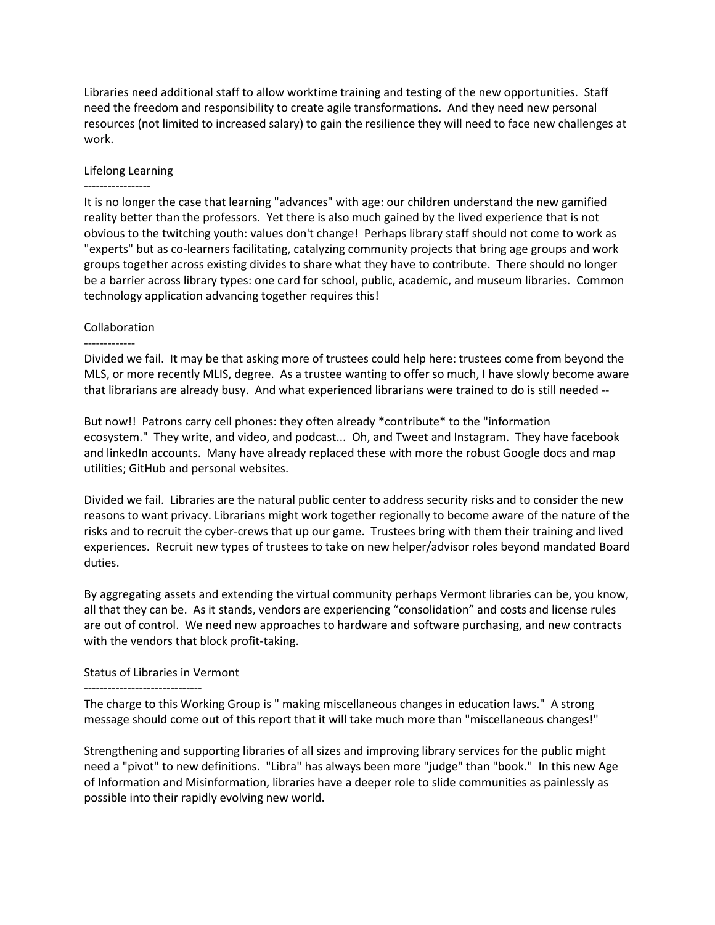Libraries need additional staff to allow worktime training and testing of the new opportunities. Staff need the freedom and responsibility to create agile transformations. And they need new personal resources (not limited to increased salary) to gain the resilience they will need to face new challenges at work.

### Lifelong Learning

----------------- It is no longer the case that learning "advances" with age: our children understand the new gamified reality better than the professors. Yet there is also much gained by the lived experience that is not obvious to the twitching youth: values don't change! Perhaps library staff should not come to work as "experts" but as co-learners facilitating, catalyzing community projects that bring age groups and work groups together across existing divides to share what they have to contribute. There should no longer be a barrier across library types: one card for school, public, academic, and museum libraries. Common technology application advancing together requires this!

## Collaboration

#### -------------

Divided we fail. It may be that asking more of trustees could help here: trustees come from beyond the MLS, or more recently MLIS, degree. As a trustee wanting to offer so much, I have slowly become aware that librarians are already busy. And what experienced librarians were trained to do is still needed --

But now!! Patrons carry cell phones: they often already \*contribute\* to the "information ecosystem." They write, and video, and podcast... Oh, and Tweet and Instagram. They have facebook and linkedIn accounts. Many have already replaced these with more the robust Google docs and map utilities; GitHub and personal websites.

Divided we fail. Libraries are the natural public center to address security risks and to consider the new reasons to want privacy. Librarians might work together regionally to become aware of the nature of the risks and to recruit the cyber-crews that up our game. Trustees bring with them their training and lived experiences. Recruit new types of trustees to take on new helper/advisor roles beyond mandated Board duties.

By aggregating assets and extending the virtual community perhaps Vermont libraries can be, you know, all that they can be. As it stands, vendors are experiencing "consolidation" and costs and license rules are out of control. We need new approaches to hardware and software purchasing, and new contracts with the vendors that block profit-taking.

## Status of Libraries in Vermont

# ------------------------------

The charge to this Working Group is " making miscellaneous changes in education laws." A strong message should come out of this report that it will take much more than "miscellaneous changes!"

Strengthening and supporting libraries of all sizes and improving library services for the public might need a "pivot" to new definitions. "Libra" has always been more "judge" than "book." In this new Age of Information and Misinformation, libraries have a deeper role to slide communities as painlessly as possible into their rapidly evolving new world.